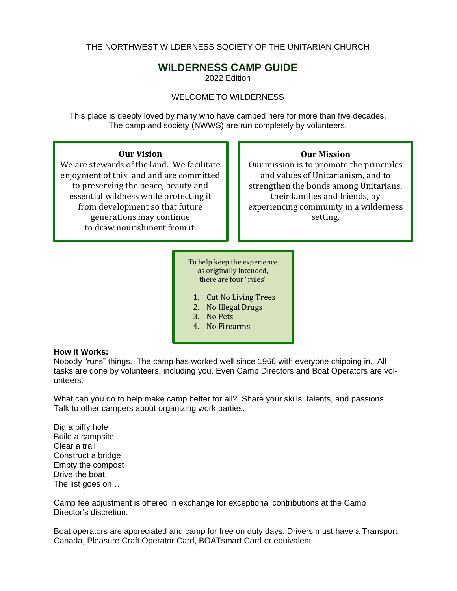THE NORTHWEST WILDERNESS SOCIETY OF THE UNITARIAN CHURCH

# **WILDERNESS CAMP GUIDE**

2022 Edition

WELCOME TO WILDERNESS

This place is deeply loved by many who have camped here for more than five decades. The camp and society (NWWS) are run completely by volunteers.

#### **Our Vision**

We are stewards of the land. We facilitate enjoyment of this land and are committed to preserving the peace, beauty and essential wildness while protecting it from development so that future generations may continue to draw nourishment from it.

#### **Our Mission**

Our mission is to promote the principles and values of Unitarianism, and to strengthen the bonds among Unitarians, their families and friends, by experiencing community in a wilderness setting.

To help keep the experience as originally intended, there are four "rules"

- 1. Cut No Living Trees
- 2. No Illegal Drugs
- 3. No Pets
- 4. No Firearms

#### **How It Works:**

Nobody "runs" things. The camp has worked well since 1966 with everyone chipping in. All tasks are done by volunteers, including you. Even Camp Directors and Boat Operators are volunteers.

What can you do to help make camp better for all? Share your skills, talents, and passions. Talk to other campers about organizing work parties.

Dig a biffy hole Build a campsite Clear a trail Construct a bridge Empty the compost Drive the boat The list goes on…

Camp fee adjustment is offered in exchange for exceptional contributions at the Camp Director's discretion.

Boat operators are appreciated and camp for free on duty days. Drivers must have a Transport Canada, Pleasure Craft Operator Card, BOATsmart Card or equivalent.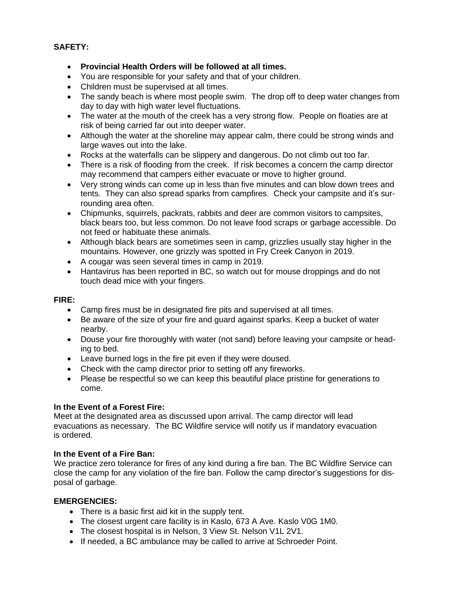# **SAFETY:**

- **Provincial Health Orders will be followed at all times.**
- You are responsible for your safety and that of your children.
- Children must be supervised at all times.
- The sandy beach is where most people swim. The drop off to deep water changes from day to day with high water level fluctuations.
- The water at the mouth of the creek has a very strong flow. People on floaties are at risk of being carried far out into deeper water.
- Although the water at the shoreline may appear calm, there could be strong winds and large waves out into the lake.
- Rocks at the waterfalls can be slippery and dangerous. Do not climb out too far.
- There is a risk of flooding from the creek. If risk becomes a concern the camp director may recommend that campers either evacuate or move to higher ground.
- Very strong winds can come up in less than five minutes and can blow down trees and tents. They can also spread sparks from campfires. Check your campsite and it's surrounding area often.
- Chipmunks, squirrels, packrats, rabbits and deer are common visitors to campsites, black bears too, but less common. Do not leave food scraps or garbage accessible. Do not feed or habituate these animals.
- Although black bears are sometimes seen in camp, grizzlies usually stay higher in the mountains. However, one grizzly was spotted in Fry Creek Canyon in 2019.
- A cougar was seen several times in camp in 2019.
- Hantavirus has been reported in BC, so watch out for mouse droppings and do not touch dead mice with your fingers.

## **FIRE:**

- Camp fires must be in designated fire pits and supervised at all times.
- Be aware of the size of your fire and guard against sparks. Keep a bucket of water nearby.
- Douse your fire thoroughly with water (not sand) before leaving your campsite or heading to bed.
- Leave burned logs in the fire pit even if they were doused.
- Check with the camp director prior to setting off any fireworks.
- Please be respectful so we can keep this beautiful place pristine for generations to come.

## **In the Event of a Forest Fire:**

Meet at the designated area as discussed upon arrival. The camp director will lead evacuations as necessary. The BC Wildfire service will notify us if mandatory evacuation is ordered.

### **In the Event of a Fire Ban:**

We practice zero tolerance for fires of any kind during a fire ban. The BC Wildfire Service can close the camp for any violation of the fire ban. Follow the camp director's suggestions for disposal of garbage.

# **EMERGENCIES:**

- There is a basic first aid kit in the supply tent.
- The closest urgent care facility is in Kaslo, 673 A Ave. Kaslo V0G 1M0.
- The closest hospital is in Nelson, 3 View St. Nelson V1L 2V1.
- If needed, a BC ambulance may be called to arrive at Schroeder Point.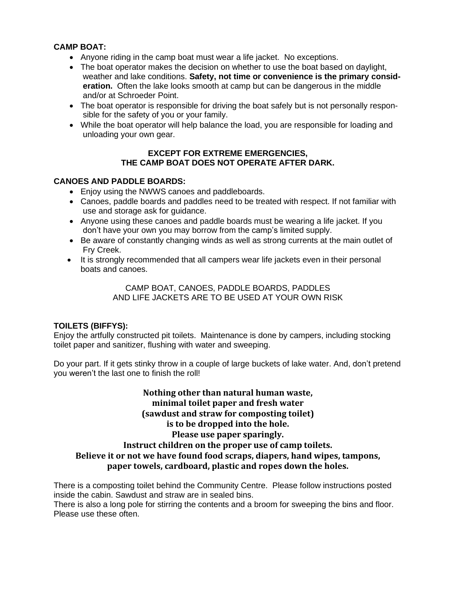### **CAMP BOAT:**

- Anyone riding in the camp boat must wear a life jacket. No exceptions.
- The boat operator makes the decision on whether to use the boat based on daylight. weather and lake conditions. **Safety, not time or convenience is the primary consideration.** Often the lake looks smooth at camp but can be dangerous in the middle and/or at Schroeder Point.
- The boat operator is responsible for driving the boat safely but is not personally responsible for the safety of you or your family.
- While the boat operator will help balance the load, you are responsible for loading and unloading your own gear.

## **EXCEPT FOR EXTREME EMERGENCIES, THE CAMP BOAT DOES NOT OPERATE AFTER DARK.**

# **CANOES AND PADDLE BOARDS:**

- Enjoy using the NWWS canoes and paddleboards.
- Canoes, paddle boards and paddles need to be treated with respect. If not familiar with use and storage ask for guidance.
- Anyone using these canoes and paddle boards must be wearing a life jacket. If you don't have your own you may borrow from the camp's limited supply.
- Be aware of constantly changing winds as well as strong currents at the main outlet of Fry Creek.
- It is strongly recommended that all campers wear life jackets even in their personal boats and canoes.

CAMP BOAT, CANOES, PADDLE BOARDS, PADDLES AND LIFE JACKETS ARE TO BE USED AT YOUR OWN RISK

# **TOILETS (BIFFYS):**

Enjoy the artfully constructed pit toilets. Maintenance is done by campers, including stocking toilet paper and sanitizer, flushing with water and sweeping.

Do your part. If it gets stinky throw in a couple of large buckets of lake water. And, don't pretend you weren't the last one to finish the roll!

**Nothing other than natural human waste, minimal toilet paper and fresh water (sawdust and straw for composting toilet) is to be dropped into the hole. Please use paper sparingly. Instruct children on the proper use of camp toilets. Believe it or not we have found food scraps, diapers, hand wipes, tampons, paper towels, cardboard, plastic and ropes down the holes.**

There is a composting toilet behind the Community Centre. Please follow instructions posted inside the cabin. Sawdust and straw are in sealed bins.

There is also a long pole for stirring the contents and a broom for sweeping the bins and floor. Please use these often.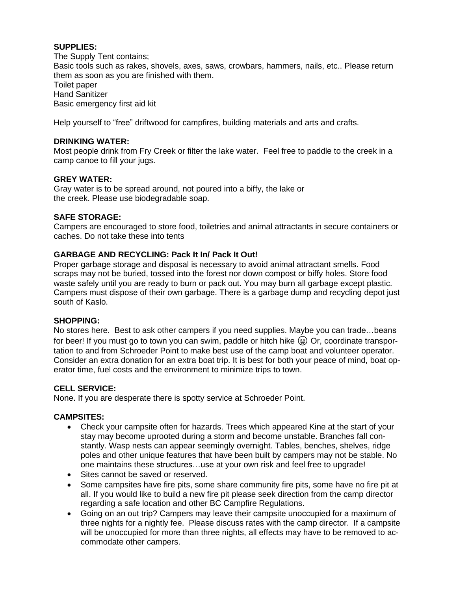## **SUPPLIES:**

The Supply Tent contains; Basic tools such as rakes, shovels, axes, saws, crowbars, hammers, nails, etc.. Please return them as soon as you are finished with them. Toilet paper Hand Sanitizer Basic emergency first aid kit

Help yourself to "free" driftwood for campfires, building materials and arts and crafts.

# **DRINKING WATER:**

Most people drink from Fry Creek or filter the lake water. Feel free to paddle to the creek in a camp canoe to fill your jugs.

# **GREY WATER:**

Gray water is to be spread around, not poured into a biffy, the lake or the creek. Please use biodegradable soap.

# **SAFE STORAGE:**

Campers are encouraged to store food, toiletries and animal attractants in secure containers or caches. Do not take these into tents

# **GARBAGE AND RECYCLING: Pack It In/ Pack It Out!**

Proper garbage storage and disposal is necessary to avoid animal attractant smells. Food scraps may not be buried, tossed into the forest nor down compost or biffy holes. Store food waste safely until you are ready to burn or pack out. You may burn all garbage except plastic. Campers must dispose of their own garbage. There is a garbage dump and recycling depot just south of Kaslo.

### **SHOPPING:**

No stores here. Best to ask other campers if you need supplies. Maybe you can trade…beans for beer! If you must go to town you can swim, paddle or hitch hike  $\circledast$  Or, coordinate transportation to and from Schroeder Point to make best use of the camp boat and volunteer operator. Consider an extra donation for an extra boat trip. It is best for both your peace of mind, boat operator time, fuel costs and the environment to minimize trips to town.

### **CELL SERVICE:**

None. If you are desperate there is spotty service at Schroeder Point.

### **CAMPSITES:**

- Check your campsite often for hazards. Trees which appeared Kine at the start of your stay may become uprooted during a storm and become unstable. Branches fall constantly. Wasp nests can appear seemingly overnight. Tables, benches, shelves, ridge poles and other unique features that have been built by campers may not be stable. No one maintains these structures…use at your own risk and feel free to upgrade!
- Sites cannot be saved or reserved.
- Some campsites have fire pits, some share community fire pits, some have no fire pit at all. If you would like to build a new fire pit please seek direction from the camp director regarding a safe location and other BC Campfire Regulations.
- Going on an out trip? Campers may leave their campsite unoccupied for a maximum of three nights for a nightly fee. Please discuss rates with the camp director. If a campsite will be unoccupied for more than three nights, all effects may have to be removed to accommodate other campers.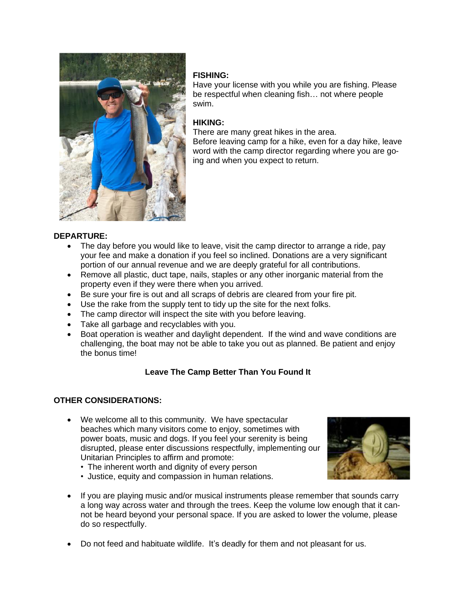

#### **FISHING:**

Have your license with you while you are fishing. Please be respectful when cleaning fish… not where people swim.

# **HIKING:**

There are many great hikes in the area.

Before leaving camp for a hike, even for a day hike, leave word with the camp director regarding where you are going and when you expect to return.

# **DEPARTURE:**

- The day before you would like to leave, visit the camp director to arrange a ride, pay your fee and make a donation if you feel so inclined. Donations are a very significant portion of our annual revenue and we are deeply grateful for all contributions.
- Remove all plastic, duct tape, nails, staples or any other inorganic material from the property even if they were there when you arrived.
- Be sure your fire is out and all scraps of debris are cleared from your fire pit.
- Use the rake from the supply tent to tidy up the site for the next folks.
- The camp director will inspect the site with you before leaving.
- Take all garbage and recyclables with you.
- Boat operation is weather and daylight dependent. If the wind and wave conditions are challenging, the boat may not be able to take you out as planned. Be patient and enjoy the bonus time!

# **Leave The Camp Better Than You Found It**

### **OTHER CONSIDERATIONS:**

- We welcome all to this community. We have spectacular beaches which many visitors come to enjoy, sometimes with power boats, music and dogs. If you feel your serenity is being disrupted, please enter discussions respectfully, implementing our Unitarian Principles to affirm and promote:
	- The inherent worth and dignity of every person
	- Justice, equity and compassion in human relations.
- 
- If you are playing music and/or musical instruments please remember that sounds carry a long way across water and through the trees. Keep the volume low enough that it cannot be heard beyond your personal space. If you are asked to lower the volume, please do so respectfully.
- Do not feed and habituate wildlife. It's deadly for them and not pleasant for us.